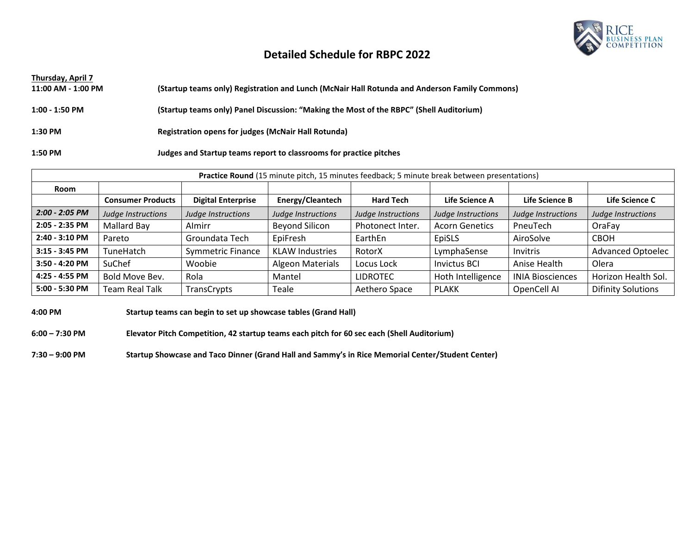

### **Detailed Schedule for RBPC 2022**

| Thursday, April 7  |                                                                                               |
|--------------------|-----------------------------------------------------------------------------------------------|
| 11:00 AM - 1:00 PM | (Startup teams only) Registration and Lunch (McNair Hall Rotunda and Anderson Family Commons) |
|                    |                                                                                               |
| $1:00 - 1:50$ PM   | (Startup teams only) Panel Discussion: "Making the Most of the RBPC" (Shell Auditorium)       |
|                    |                                                                                               |
| 1:30 PM            | Registration opens for judges (McNair Hall Rotunda)                                           |
|                    |                                                                                               |
| 1:50 PM            | Judges and Startup teams report to classrooms for practice pitches                            |

| Practice Round (15 minute pitch, 15 minutes feedback; 5 minute break between presentations) |                          |                           |                         |                    |                       |                         |                           |
|---------------------------------------------------------------------------------------------|--------------------------|---------------------------|-------------------------|--------------------|-----------------------|-------------------------|---------------------------|
| Room                                                                                        |                          |                           |                         |                    |                       |                         |                           |
|                                                                                             | <b>Consumer Products</b> | <b>Digital Enterprise</b> | Energy/Cleantech        | <b>Hard Tech</b>   | Life Science A        | Life Science B          | Life Science C            |
| $2:00 - 2:05$ PM                                                                            | Judge Instructions       | Judge Instructions        | Judge Instructions      | Judge Instructions | Judge Instructions    | Judge Instructions      | Judge Instructions        |
| 2:05 - 2:35 PM                                                                              | Mallard Bay              | Almirr                    | <b>Beyond Silicon</b>   | Photonect Inter.   | <b>Acorn Genetics</b> | PneuTech                | OraFay                    |
| 2:40 - 3:10 PM                                                                              | Pareto                   | Groundata Tech            | EpiFresh                | EarthEn            | EpiSLS                | AiroSolve               | <b>CBOH</b>               |
| $3:15 - 3:45$ PM                                                                            | TuneHatch                | <b>Symmetric Finance</b>  | <b>KLAW Industries</b>  | RotorX             | LymphaSense           | <b>Invitris</b>         | <b>Advanced Optoelec</b>  |
| 3:50 - 4:20 PM                                                                              | SuChef                   | Woobie                    | <b>Algeon Materials</b> | Locus Lock         | <b>Invictus BCI</b>   | Anise Health            | Olera                     |
| 4:25 - 4:55 PM                                                                              | Bold Move Bev.           | Rola                      | Mantel                  | <b>LIDROTEC</b>    | Hoth Intelligence     | <b>INIA Biosciences</b> | Horizon Health Sol.       |
| 5:00 - 5:30 PM                                                                              | Team Real Talk           | TransCrypts               | Teale                   | Aethero Space      | <b>PLAKK</b>          | OpenCell AI             | <b>Difinity Solutions</b> |

**4:00 PM Startup teams can begin to set up showcase tables (Grand Hall)**

**6:00 – 7:30 PM Elevator Pitch Competition, 42 startup teams each pitch for 60 sec each (Shell Auditorium)**

**7:30 – 9:00 PM Startup Showcase and Taco Dinner (Grand Hall and Sammy's in Rice Memorial Center/Student Center)**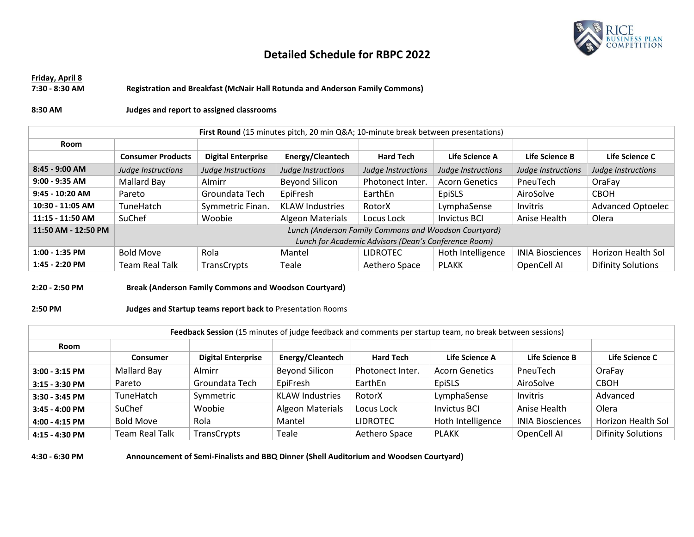

## **Detailed Schedule for RBPC 2022**

### **Friday, April 8 7:30 - 8:30 AM Registration and Breakfast (McNair Hall Rotunda and Anderson Family Commons)**

#### **8:30 AM Judges and report to assigned classrooms**

| First Round (15 minutes pitch, 20 min Q&A 10-minute break between presentations) |                                                       |                           |                         |                    |                       |                         |                           |
|----------------------------------------------------------------------------------|-------------------------------------------------------|---------------------------|-------------------------|--------------------|-----------------------|-------------------------|---------------------------|
| Room                                                                             |                                                       |                           |                         |                    |                       |                         |                           |
|                                                                                  | <b>Consumer Products</b>                              | <b>Digital Enterprise</b> | Energy/Cleantech        | <b>Hard Tech</b>   | Life Science A        | Life Science B          | Life Science C            |
| $8:45 - 9:00$ AM                                                                 | Judge Instructions                                    | Judge Instructions        | Judge Instructions      | Judge Instructions | Judge Instructions    | Judge Instructions      | Judge Instructions        |
| $9:00 - 9:35$ AM                                                                 | Mallard Bay                                           | Almirr                    | Beyond Silicon          | Photonect Inter.   | <b>Acorn Genetics</b> | PneuTech                | OraFay                    |
| $9:45 - 10:20$ AM                                                                | Pareto                                                | Groundata Tech            | EpiFresh                | EarthEn            | EpiSLS                | AiroSolve               | <b>CBOH</b>               |
| 10:30 - 11:05 AM                                                                 | TuneHatch                                             | Symmetric Finan.          | <b>KLAW Industries</b>  | RotorX             | LymphaSense           | Invitris                | Advanced Optoelec         |
| 11:15 - 11:50 AM                                                                 | <b>SuChef</b>                                         | Woobie                    | <b>Algeon Materials</b> | Locus Lock         | <b>Invictus BCI</b>   | Anise Health            | Olera                     |
| 11:50 AM - 12:50 PM                                                              | Lunch (Anderson Family Commons and Woodson Courtyard) |                           |                         |                    |                       |                         |                           |
|                                                                                  | Lunch for Academic Advisors (Dean's Conference Room)  |                           |                         |                    |                       |                         |                           |
| $1:00 - 1:35$ PM                                                                 | <b>Bold Move</b>                                      | Rola                      | Mantel                  | <b>LIDROTEC</b>    | Hoth Intelligence     | <b>INIA Biosciences</b> | Horizon Health Sol        |
| 1:45 - 2:20 PM                                                                   | Team Real Talk                                        | TransCrypts               | Teale                   | Aethero Space      | <b>PLAKK</b>          | OpenCell AI             | <b>Difinity Solutions</b> |

#### **2:20 - 2:50 PM Break (Anderson Family Commons and Woodson Courtyard)**

#### **2:50 PM Judges and Startup teams report back to** Presentation Rooms

| Feedback Session (15 minutes of judge feedback and comments per startup team, no break between sessions) |                       |                           |                         |                  |                       |                         |                           |
|----------------------------------------------------------------------------------------------------------|-----------------------|---------------------------|-------------------------|------------------|-----------------------|-------------------------|---------------------------|
| Room                                                                                                     |                       |                           |                         |                  |                       |                         |                           |
|                                                                                                          | <b>Consumer</b>       | <b>Digital Enterprise</b> | Energy/Cleantech        | <b>Hard Tech</b> | Life Science A        | Life Science B          | Life Science C            |
| $3:00 - 3:15$ PM                                                                                         | Mallard Bay           | Almirr                    | <b>Beyond Silicon</b>   | Photonect Inter. | <b>Acorn Genetics</b> | PneuTech                | OraFay                    |
| $3:15 - 3:30$ PM                                                                                         | Pareto                | Groundata Tech            | EpiFresh                | EarthEn          | EpiSLS                | AiroSolve               | <b>CBOH</b>               |
| 3:30 - 3:45 PM                                                                                           | TuneHatch             | Symmetric                 | <b>KLAW Industries</b>  | RotorX           | LymphaSense           | Invitris                | Advanced                  |
| 3:45 - 4:00 PM                                                                                           | SuChef                | Woobie                    | <b>Algeon Materials</b> | Locus Lock       | <b>Invictus BCI</b>   | Anise Health            | Olera                     |
| 4:00 - 4:15 PM                                                                                           | <b>Bold Move</b>      | Rola                      | Mantel                  | <b>LIDROTEC</b>  | Hoth Intelligence     | <b>INIA Biosciences</b> | Horizon Health Sol        |
| 4:15 - 4:30 PM                                                                                           | <b>Team Real Talk</b> | TransCrypts               | Teale                   | Aethero Space    | <b>PLAKK</b>          | OpenCell AI             | <b>Difinity Solutions</b> |

**4:30 - 6:30 PM Announcement of Semi-Finalists and BBQ Dinner (Shell Auditorium and Woodsen Courtyard)**